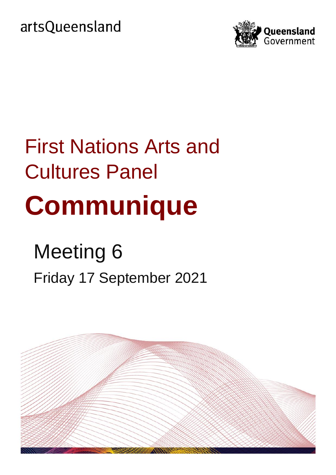artsQueensland



# First Nations Arts and Cultures Panel **Communique**

## Meeting 6 Friday 17 September 2021

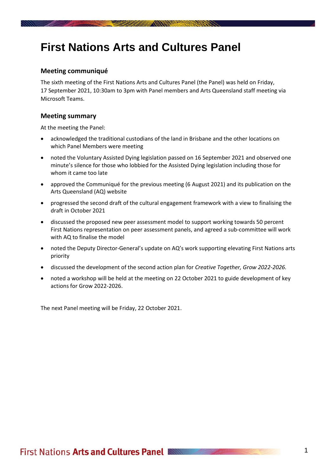## **First Nations Arts and Cultures Panel**

**RESERVE AND MANUFACTURERS** 

#### **Meeting communiqué**

The sixth meeting of the First Nations Arts and Cultures Panel (the Panel) was held on Friday, 17 September 2021, 10:30am to 3pm with Panel members and Arts Queensland staff meeting via Microsoft Teams.

#### **Meeting summary**

At the meeting the Panel:

- acknowledged the traditional custodians of the land in Brisbane and the other locations on which Panel Members were meeting
- noted the Voluntary Assisted Dying legislation passed on 16 September 2021 and observed one minute's silence for those who lobbied for the Assisted Dying legislation including those for whom it came too late
- approved the Communiqué for the previous meeting (6 August 2021) and its publication on the Arts Queensland (AQ) website
- progressed the second draft of the cultural engagement framework with a view to finalising the draft in October 2021
- discussed the proposed new peer assessment model to support working towards 50 percent First Nations representation on peer assessment panels, and agreed a sub-committee will work with AQ to finalise the model
- noted the Deputy Director-General's update on AQ's work supporting elevating First Nations arts priority
- discussed the development of the second action plan for *Creative Together, Grow 2022-2026.*
- noted a workshop will be held at the meeting on 22 October 2021 to guide development of key actions for Grow 2022-2026.

The next Panel meeting will be Friday, 22 October 2021.